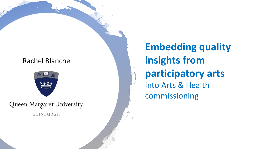#### Rachel Blanche



Queen Margaret University EDINBURGH

**Embedding quality insights from participatory arts**  into Arts & Health commissioning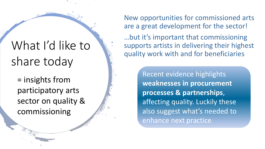# What I'd like to share today

= insights from participatory arts sector on quality & commissioning

New opportunities for commissioned arts are a great development for the sector!

…but it's important that commissioning supports artists in delivering their highest quality work with and for beneficiaries

> Recent evidence highlights **weaknesses in procurement processes & partnerships**, affecting quality. Luckily these also suggest what's needed to enhance next practice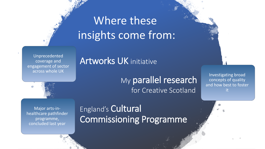# Where these insights come from:

Unprecedented coverage and engagement of sector across whole UK

### Artworks UK initiative

### My parallel research for Creative Scotland

Investigating broad concepts of quality and how best to foster it

Major arts-inhealthcare pathfinder programme, concluded last year

## England's Cultural Commissioning Programme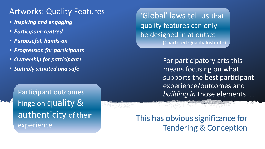### Artworks: Quality Features

- *Inspiring and engaging*
- *Participant-centred*
- *Purposeful, hands-on*
- *Progression for participants*
- *Ownership for participants*
- *Suitably situated and safe*

Participant outcomes hinge on quality & authenticity of their experience

'Global' laws tell us that quality features can only be designed in at outset (Chartered Quality Institute)

> For participatory arts this means focusing on what supports the best participant experience/outcomes and *building in* those elements …

This has obvious significance for Tendering & Conception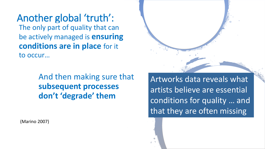Another global 'truth': The only part of quality that can be actively managed is **ensuring conditions are in place** for it to occur…

> And then making sure that **subsequent processes don't 'degrade' them**

(Marino 2007)



Artworks data reveals what artists believe are essential conditions for quality … and that they are often missing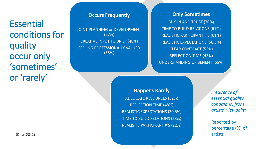**Essential** conditions for quality occur only 'sometimes' or 'rarely'

**Occurs Frequently** 

JOINT PLANNING or DEVELOPMENT (57%) CREATIVE INPUT TO BRIEF (48%) FEELING PROFESSIONALLY VALUED (35%)

**Only Sometimes** 

BUY-IN AND TRUST (70%) TIME TO BUILD RELATIONS (61%) REALISTIC PARTICIPANT #'S (61%) REALISTIC EXPECTATIONS (56.5%) CLEAR CONTRACT (52%) REFLECTION TIME (43%) UNDERSTANDING OF BENEFIT (65%)

**Happens Rarely** ADEQUATE RESOURCES (52%) REFLECTION TIME (48%) REALISTIC EXPECTATIONS (30.5%) TIME TO BUILD RELATIONS (28%) REALISTIC PARTICIPANT #'S (22%)

*Frequency of essential quality conditions, from artists' viewpoint*

Reported by percentage (%) of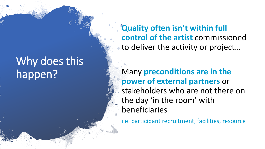# Why does this happen?

**Quality often isn't within full control of the artist** commissioned to deliver the activity or project...

Many **preconditions are in the power of external partners** or stakeholders who are not there on the day 'in the room' with beneficiaries

i.e. participant recruitment, facilities, resource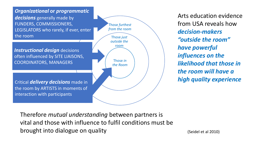

Therefore *mutual understanding* between partners is vital and those with influence to fulfil conditions must be brought into dialogue on quality

(Seidel et al 2010)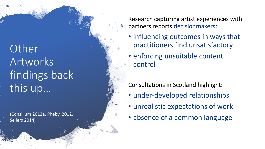**Other** Artworks findings back this up…

(Consilium 2012a, Pheby, 2012, Sellers 2014)

Research capturing artist experiences with partners reports decisionmakers :

- influencing outcomes in ways that practitioners find unsatisfactory
- enforcing unsuitable content control

Consultations in Scotland highlight:

- under-developed relationships
- unrealistic expectations of work
- absence of a common language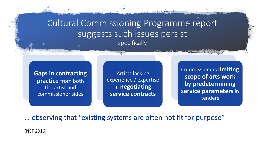Cultural Commissioning Programme report suggests such issues persist specifically

**Gaps in contracting practice** from both the artist and commissioner sides

Artists lacking experience / expertise in **negotiating service contracts**

Commissioners **limiting scope of arts work by predetermining service parameters**in tenders

… observing that "existing systems are often not fit for purpose"

(NEF 2016)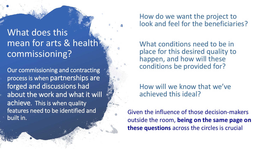## What does this mean for arts & health commissioning?

Our commissioning and contracting process is when partnerships are forged and discussions had about the work and what it will achieve. This is when quality features need to be identified and built in.

#### How do we want the project to look and feel for the beneficiaries?

What conditions need to be in place for this desired quality to happen, and how will these conditions be provided for?

How will we know that we've achieved this ideal?

Given the influence of those decision-makers outside the room, **being on the same page on these questions** across the circles is crucial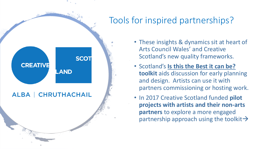## Tools for inspired partnerships?



- These insights & dynamics sit at heart of Arts Council Wales' and Creative Scotland's new quality frameworks.
- Scotland's **[Is this the Best it can be?](http://www.creativescotland.com/what-we-do/major-projects/creative-learning-and-young-people/artworks-scotland/is-this-the-best-it-can-be) toolkit** aids discussion for early planning and design. Artists can use it with partners commissioning or hosting work.
- In 2017 Creative Scotland funded **pilot projects with artists and their non-arts partners** to explore a more engaged partnership approach using the toolkit $\rightarrow$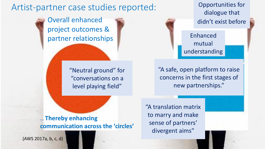### Artist-partner case studies reported:

Overall enhanced project outcomes & partner relationships

> "Neutral ground" for "conversations on a level playing field"

Opportunities for dialogue that didn't exist before

Enhanced mutual understanding

"A safe, open platform to raise concerns in the first stages of new partnerships."

… **Thereby enhancing communication across the 'circles'** "A translation matrix to marry and make sense of partners' divergent aims"

(AWS 2017a, b, c, d)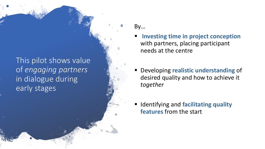This pilot shows value of *engaging partners*  in dialogue during early stages

- By…
- **Investing time in project conception** with partners, placing participant needs at the centre
- **Developing realistic understanding of** desired quality and how to achieve it *together*
- **Identifying and facilitating quality features** from the start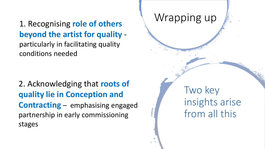1. Recognising **role of others beyond the artist for quality**  particularly in facilitating quality conditions needed

2. Acknowledging that **roots of quality lie in Conception and Contracting** – emphasising engaged partnership in early commissioning stages

Two key insights arise from all this

## Wrapping up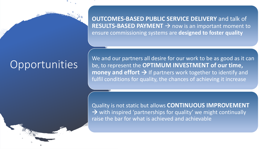# **Opportunities**

**OUTCOMES-BASED PUBLIC SERVICE DELIVERY** and talk of **RESULTS-BASED PAYMENT → now is an important moment to** ensure commissioning systems are **designed to foster quality**

We and our partners all desire for our work to be as good as it can be, to represent the **OPTIMUM INVESTMENT of our time, money and effort → If partners work together to identify and** fulfil conditions for quality, the chances of achieving it increase

Quality is not static but allows **CONTINUOUS IMPROVEMENT**  → with inspired 'partnerships for quality' we might continually raise the bar for what is achieved and achievable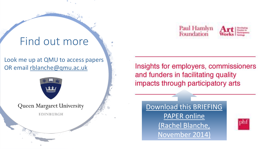# Find out more

Look me up at QMU to access papers OR email [rblanche@qmu.ac.uk](mailto:rblanche@qmu.ac.uk)



Queen Margaret University

EDINBURGH



Insights for employers, commissioners and funders in facilitating quality impacts through participatory arts

[Download this BRIEFING](http://www.phf.org.uk/publications/artworks-insights-for-employers-commissioners-and-funders-in-facilitating-quality-impacts-through-participatory-arts/)

PAPER online [\(Rachel Blanche,](http://www.phf.org.uk/publications/artworks-insights-for-employers-commissioners-and-funders-in-facilitating-quality-impacts-through-participatory-arts/) 

November 2014)

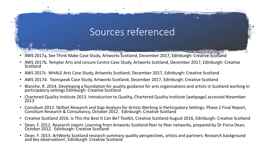## Sources referenced

- AWS 2017a. See Think Make Case Study, Artworks Scotland, December 2017, Edinburgh: Creative Scotland
- AWS 2017b. Templar Arts and Leisure Centre Case Study, Artworks Scotland, December 2017, Edinburgh: Creative Scotland
- AWS 2017c. WHALE Arts Case Study, Artworks Scotland, December 2017, Edinburgh: Creative Scotland
- AWS 2017d. Toonspeak Case Study, Artworks Scotland, December 2017, Edinburgh: Creative Scotland
- Blanche, R. 2014. Developing a foundation for quality guidance for arts organisations and artists in Scotland working in participatory settings Edinburgh: Creative Scotland
- Chartered Quality Institute 2013. Introduction to Quality*,* Chartered Quality Institute [webpage] accessed November 2013
- Consilium 2012. Skillset Research and Gap Analysis for Artists Working in Participatory Settings: Phase 2 Final Report, Consilium Research & Consultancy, October 2012. Edinburgh: Creative Scotland
- Creative Scotland 2016. Is This the Best It Can Be? Toolkit, Creative Scotland August 2016, Edinburgh: Creative Scotland
- Dean, F. 2012. Research report: Learning from Artworks Scotland Peer to Peer networks, prepared by Dr Fiona Dean, October 2012. Edinburgh: Creative Scotland
- Dean, F. 2013. ArtWorks Scotland research summary quality perspectives, artists and partners: Research background and key observations', Edinburgh: Creative Scotland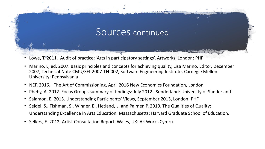### Sources continued

- Lowe, T. 2011. Audit of practice: 'Arts in participatory settings', Artworks, London: PHF
- Marino, L, ed. 2007. Basic principles and concepts for achieving quality, Lisa Marino, Editor, December 2007, Technical Note CMU/SEI-2007-TN-002, Software Engineering Institute, Carnegie Mellon University: Pennsylvania
- NEF, 2016. The Art of Commissioning, April 2016 New Economics Foundation, London
- Pheby, A. 2012. Focus Groups summary of findings: July 2012. Sunderland: University of Sunderland
- Salamon, E. 2013. Understanding Participants' Views, September 2013, London: PHF
- Seidel, S., Tishman, S., Winner, E., Hetland, L. and Palmer, P. 2010. The Qualities of Quality: Understanding Excellence in Arts Education. Massachusetts: Harvard Graduate School of Education.
- Sellers, E. 2012. Artist Consultation Report. Wales, UK: ArtWorks Cymru.